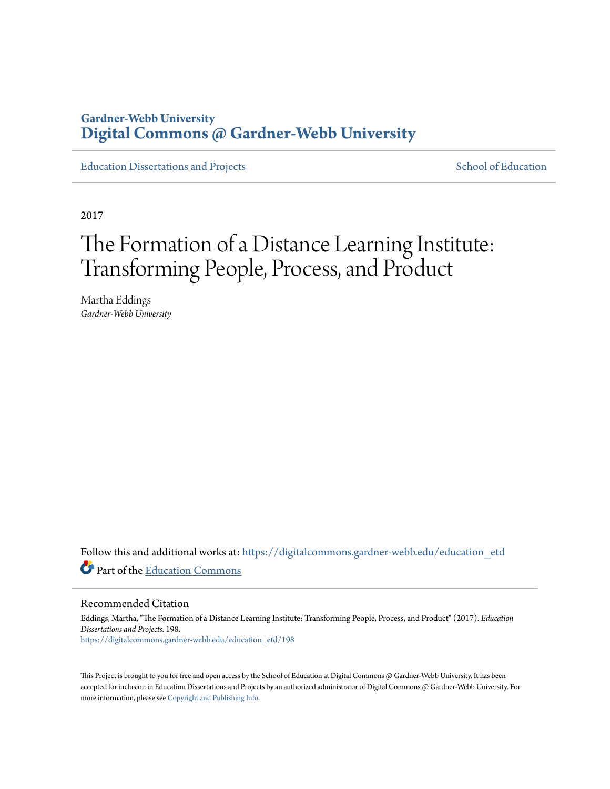#### **Gardner-Webb University [Digital Commons @ Gardner-Webb University](https://digitalcommons.gardner-webb.edu?utm_source=digitalcommons.gardner-webb.edu%2Feducation_etd%2F198&utm_medium=PDF&utm_campaign=PDFCoverPages)**

[Education Dissertations and Projects](https://digitalcommons.gardner-webb.edu/education_etd?utm_source=digitalcommons.gardner-webb.edu%2Feducation_etd%2F198&utm_medium=PDF&utm_campaign=PDFCoverPages) [School of Education](https://digitalcommons.gardner-webb.edu/education?utm_source=digitalcommons.gardner-webb.edu%2Feducation_etd%2F198&utm_medium=PDF&utm_campaign=PDFCoverPages)

2017

# The Formation of a Distance Learning Institute: Transforming People, Process, and Product

Martha Eddings *Gardner-Webb University*

Follow this and additional works at: [https://digitalcommons.gardner-webb.edu/education\\_etd](https://digitalcommons.gardner-webb.edu/education_etd?utm_source=digitalcommons.gardner-webb.edu%2Feducation_etd%2F198&utm_medium=PDF&utm_campaign=PDFCoverPages) Part of the [Education Commons](http://network.bepress.com/hgg/discipline/784?utm_source=digitalcommons.gardner-webb.edu%2Feducation_etd%2F198&utm_medium=PDF&utm_campaign=PDFCoverPages)

Recommended Citation

Eddings, Martha, "The Formation of a Distance Learning Institute: Transforming People, Process, and Product" (2017). *Education Dissertations and Projects*. 198. [https://digitalcommons.gardner-webb.edu/education\\_etd/198](https://digitalcommons.gardner-webb.edu/education_etd/198?utm_source=digitalcommons.gardner-webb.edu%2Feducation_etd%2F198&utm_medium=PDF&utm_campaign=PDFCoverPages)

This Project is brought to you for free and open access by the School of Education at Digital Commons @ Gardner-Webb University. It has been accepted for inclusion in Education Dissertations and Projects by an authorized administrator of Digital Commons @ Gardner-Webb University. For more information, please see [Copyright and Publishing Info](https://digitalcommons.gardner-webb.edu/copyright_publishing.html).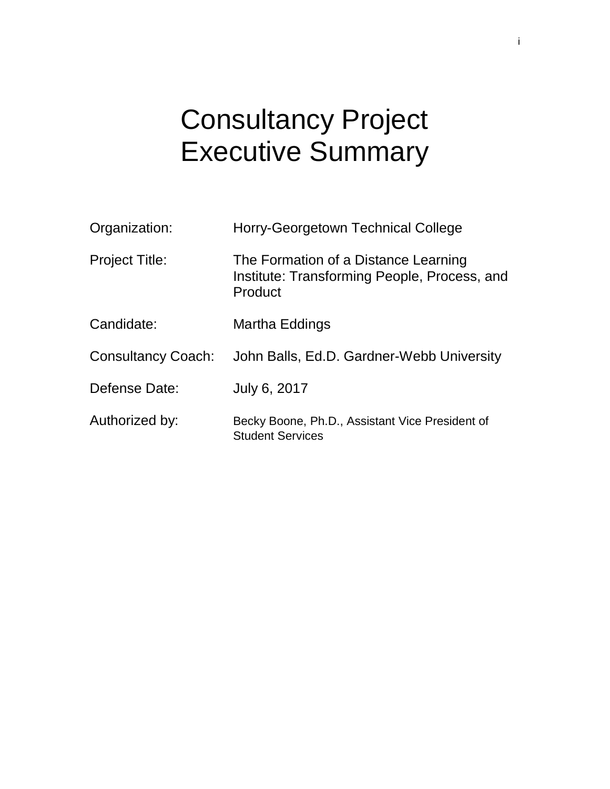# Consultancy Project Executive Summary

| Organization:             | Horry-Georgetown Technical College                                                              |  |
|---------------------------|-------------------------------------------------------------------------------------------------|--|
| <b>Project Title:</b>     | The Formation of a Distance Learning<br>Institute: Transforming People, Process, and<br>Product |  |
| Candidate:                | Martha Eddings                                                                                  |  |
| <b>Consultancy Coach:</b> | John Balls, Ed.D. Gardner-Webb University                                                       |  |
| Defense Date:             | July 6, 2017                                                                                    |  |
| Authorized by:            | Becky Boone, Ph.D., Assistant Vice President of<br><b>Student Services</b>                      |  |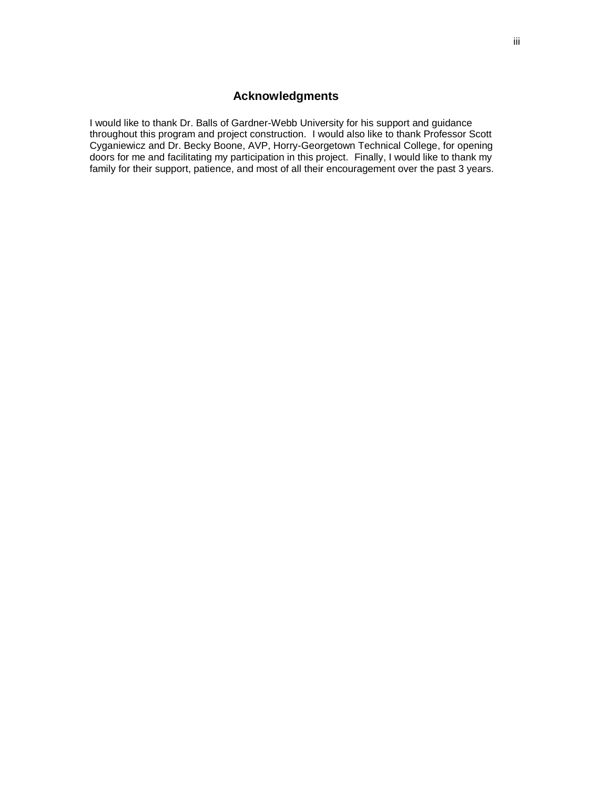#### **Acknowledgments**

I would like to thank Dr. Balls of Gardner-Webb University for his support and guidance throughout this program and project construction. I would also like to thank Professor Scott Cyganiewicz and Dr. Becky Boone, AVP, Horry-Georgetown Technical College, for opening doors for me and facilitating my participation in this project. Finally, I would like to thank my family for their support, patience, and most of all their encouragement over the past 3 years.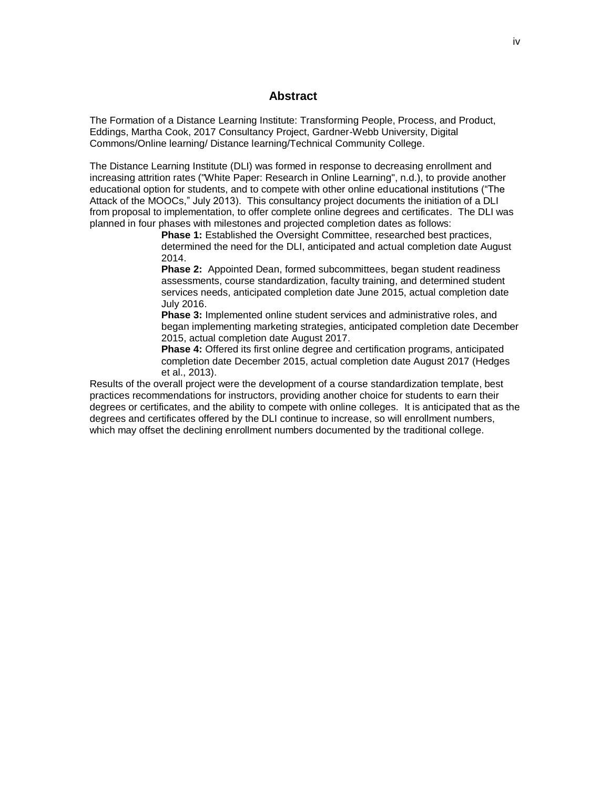#### **Abstract**

The Formation of a Distance Learning Institute: Transforming People, Process, and Product, Eddings, Martha Cook, 2017 Consultancy Project, Gardner-Webb University, Digital Commons/Online learning/ Distance learning/Technical Community College.

The Distance Learning Institute (DLI) was formed in response to decreasing enrollment and increasing attrition rates ("White Paper: Research in Online Learning", n.d.), to provide another educational option for students, and to compete with other online educational institutions ("The Attack of the MOOCs," July 2013). This consultancy project documents the initiation of a DLI from proposal to implementation, to offer complete online degrees and certificates. The DLI was planned in four phases with milestones and projected completion dates as follows:

**Phase 1:** Established the Oversight Committee, researched best practices, determined the need for the DLI, anticipated and actual completion date August 2014.

**Phase 2:** Appointed Dean, formed subcommittees, began student readiness assessments, course standardization, faculty training, and determined student services needs, anticipated completion date June 2015, actual completion date July 2016.

**Phase 3:** Implemented online student services and administrative roles, and began implementing marketing strategies, anticipated completion date December 2015, actual completion date August 2017.

**Phase 4:** Offered its first online degree and certification programs, anticipated completion date December 2015, actual completion date August 2017 (Hedges et al., 2013).

Results of the overall project were the development of a course standardization template, best practices recommendations for instructors, providing another choice for students to earn their degrees or certificates, and the ability to compete with online colleges. It is anticipated that as the degrees and certificates offered by the DLI continue to increase, so will enrollment numbers, which may offset the declining enrollment numbers documented by the traditional college.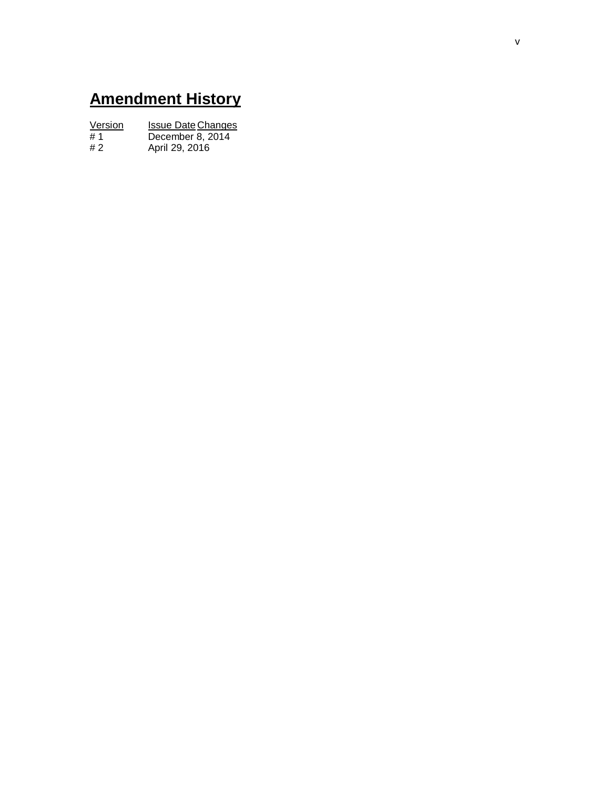# **Amendment History**

| Version | <b>Issue Date Changes</b> |
|---------|---------------------------|
| #1      | December 8, 2014          |
| #2      | April 29, 2016            |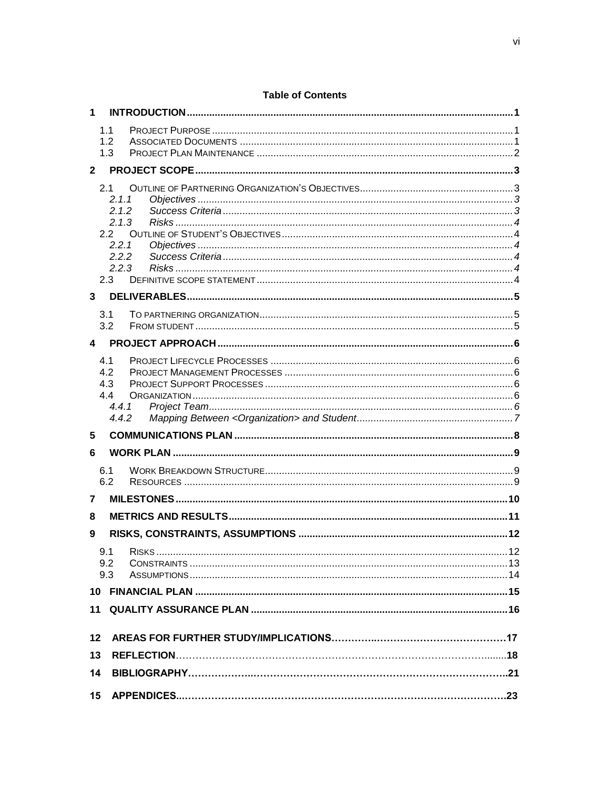| 1               |                |  |
|-----------------|----------------|--|
|                 | 1.1            |  |
|                 | 1.2<br>1.3     |  |
|                 |                |  |
| $\mathbf{2}$    |                |  |
|                 | 2.1            |  |
|                 | 2.1.1<br>2.1.2 |  |
|                 | 2.1.3          |  |
|                 | 2.2            |  |
|                 | 2.2.1          |  |
|                 | 2.2.2<br>2.2.3 |  |
|                 | 2.3            |  |
| 3               |                |  |
|                 |                |  |
|                 | 3.1<br>3.2     |  |
|                 |                |  |
| 4               |                |  |
|                 | 4.1            |  |
|                 | 4.2<br>4.3     |  |
|                 | 4.4            |  |
|                 | 4.4.1          |  |
|                 | 4.4.2          |  |
| $5\phantom{.0}$ |                |  |
| 6               |                |  |
|                 | 6.1            |  |
|                 | 6.2            |  |
| 7               |                |  |
| 8               |                |  |
| 9               |                |  |
|                 | 9.1            |  |
|                 | 9.2            |  |
|                 | 9.3            |  |
|                 |                |  |
|                 |                |  |
|                 |                |  |
| 12              |                |  |
| 13              |                |  |
| 14              |                |  |
|                 |                |  |

#### **Table of Contents**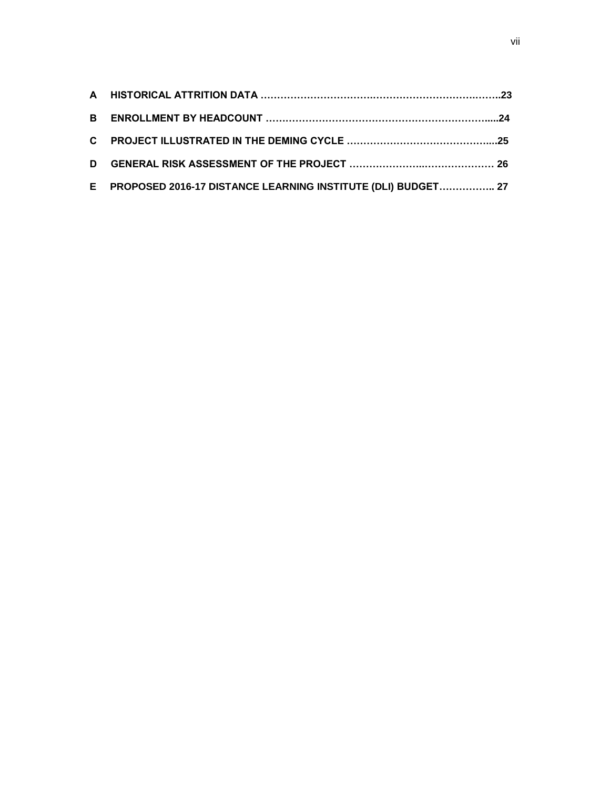| E PROPOSED 2016-17 DISTANCE LEARNING INSTITUTE (DLI) BUDGET 27 |  |
|----------------------------------------------------------------|--|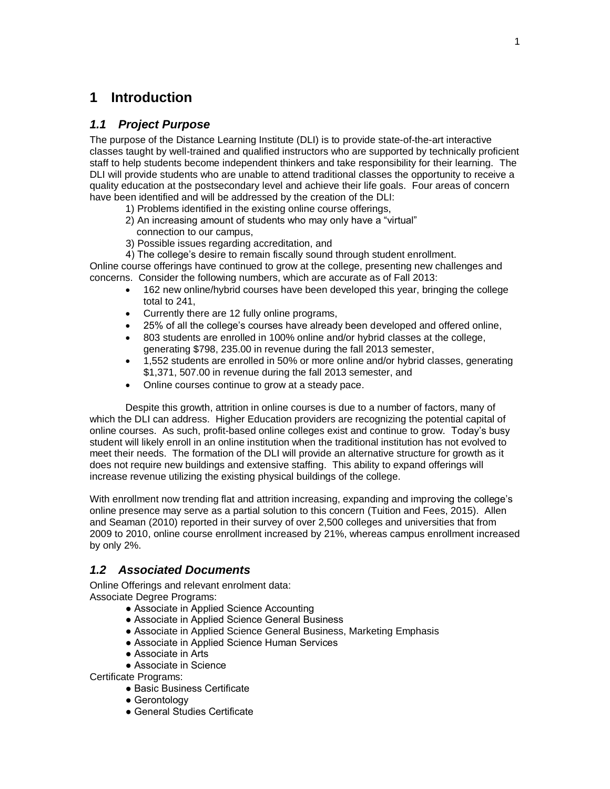#### **1 Introduction**

#### *1.1 Project Purpose*

The purpose of the Distance Learning Institute (DLI) is to provide state-of-the-art interactive classes taught by well-trained and qualified instructors who are supported by technically proficient staff to help students become independent thinkers and take responsibility for their learning. The DLI will provide students who are unable to attend traditional classes the opportunity to receive a quality education at the postsecondary level and achieve their life goals. Four areas of concern have been identified and will be addressed by the creation of the DLI:

- 1) Problems identified in the existing online course offerings,
- 2) An increasing amount of students who may only have a "virtual" connection to our campus,
- 3) Possible issues regarding accreditation, and
- 4) The college's desire to remain fiscally sound through student enrollment.

Online course offerings have continued to grow at the college, presenting new challenges and concerns. Consider the following numbers, which are accurate as of Fall 2013:

- 162 new online/hybrid courses have been developed this year, bringing the college total to 241,
- Currently there are 12 fully online programs,
- 25% of all the college's courses have already been developed and offered online,
- 803 students are enrolled in 100% online and/or hybrid classes at the college, generating \$798, 235.00 in revenue during the fall 2013 semester,
- 1,552 students are enrolled in 50% or more online and/or hybrid classes, generating \$1,371, 507.00 in revenue during the fall 2013 semester, and
- Online courses continue to grow at a steady pace.

Despite this growth, attrition in online courses is due to a number of factors, many of which the DLI can address. Higher Education providers are recognizing the potential capital of online courses. As such, profit-based online colleges exist and continue to grow. Today's busy student will likely enroll in an online institution when the traditional institution has not evolved to meet their needs. The formation of the DLI will provide an alternative structure for growth as it does not require new buildings and extensive staffing. This ability to expand offerings will increase revenue utilizing the existing physical buildings of the college.

With enrollment now trending flat and attrition increasing, expanding and improving the college's online presence may serve as a partial solution to this concern (Tuition and Fees, 2015). Allen and Seaman (2010) reported in their survey of over 2,500 colleges and universities that from 2009 to 2010, online course enrollment increased by 21%, whereas campus enrollment increased by only 2%.

#### *1.2 Associated Documents*

Online Offerings and relevant enrolment data: Associate Degree Programs:

- Associate in Applied Science Accounting
- Associate in Applied Science General Business
- Associate in Applied Science General Business, Marketing Emphasis
- Associate in Applied Science Human Services
- Associate in Arts
- Associate in Science

Certificate Programs:

- Basic Business Certificate
- Gerontology
- General Studies Certificate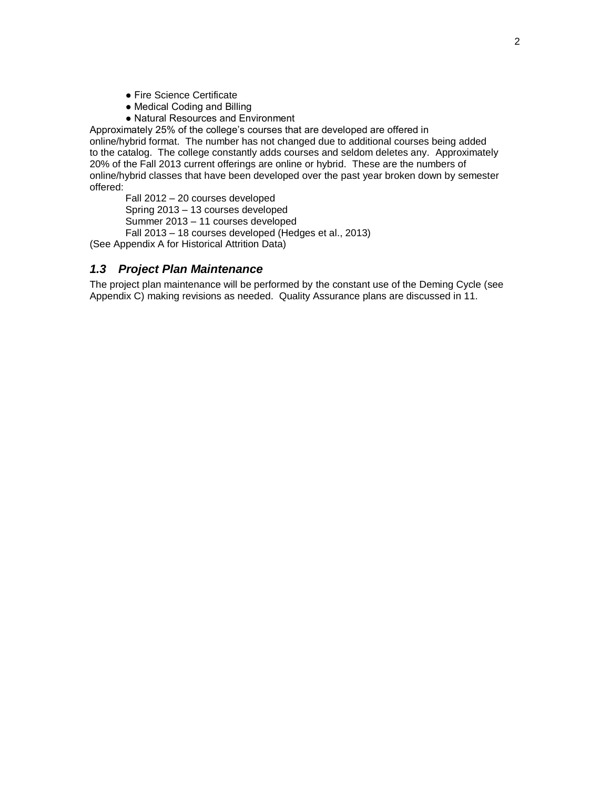- Fire Science Certificate
- Medical Coding and Billing
- Natural Resources and Environment

Approximately 25% of the college's courses that are developed are offered in online/hybrid format. The number has not changed due to additional courses being added to the catalog. The college constantly adds courses and seldom deletes any. Approximately 20% of the Fall 2013 current offerings are online or hybrid. These are the numbers of online/hybrid classes that have been developed over the past year broken down by semester offered:

Fall 2012 – 20 courses developed

Spring 2013 – 13 courses developed

Summer 2013 – 11 courses developed

Fall 2013 – 18 courses developed (Hedges et al., 2013)

(See Appendix A for Historical Attrition Data)

#### *1.3 Project Plan Maintenance*

The project plan maintenance will be performed by the constant use of the Deming Cycle (see Appendix C) making revisions as needed. Quality Assurance plans are discussed in 11.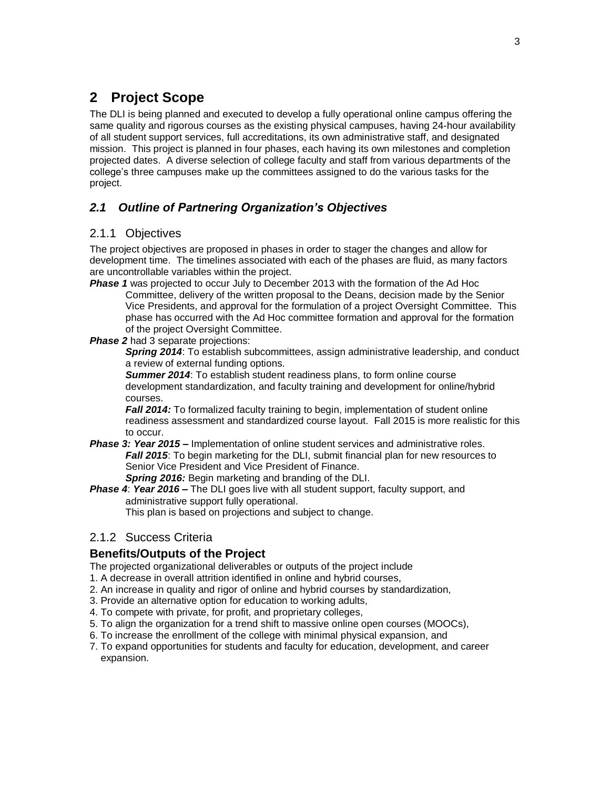### **2 Project Scope**

The DLI is being planned and executed to develop a fully operational online campus offering the same quality and rigorous courses as the existing physical campuses, having 24-hour availability of all student support services, full accreditations, its own administrative staff, and designated mission. This project is planned in four phases, each having its own milestones and completion projected dates. A diverse selection of college faculty and staff from various departments of the college's three campuses make up the committees assigned to do the various tasks for the project.

#### *2.1 Outline of Partnering Organization's Objectives*

#### 2.1.1 Objectives

The project objectives are proposed in phases in order to stager the changes and allow for development time. The timelines associated with each of the phases are fluid, as many factors are uncontrollable variables within the project.

**Phase 1** was projected to occur July to December 2013 with the formation of the Ad Hoc Committee, delivery of the written proposal to the Deans, decision made by the Senior Vice Presidents, and approval for the formulation of a project Oversight Committee. This phase has occurred with the Ad Hoc committee formation and approval for the formation of the project Oversight Committee.

#### **Phase 2** had 3 separate projections:

*Spring 2014*: To establish subcommittees, assign administrative leadership, and conduct a review of external funding options.

*Summer 2014*: To establish student readiness plans, to form online course development standardization, and faculty training and development for online/hybrid courses.

**Fall 2014:** To formalized faculty training to begin, implementation of student online readiness assessment and standardized course layout. Fall 2015 is more realistic for this to occur.

- *Phase 3: Year 2015 –* Implementation of online student services and administrative roles. *Fall 2015*: To begin marketing for the DLI, submit financial plan for new resources to Senior Vice President and Vice President of Finance. *Spring 2016:* Begin marketing and branding of the DLI.
- *Phase 4*: *Year 2016* **–** The DLI goes live with all student support, faculty support, and

administrative support fully operational.

This plan is based on projections and subject to change.

#### 2.1.2 Success Criteria

#### **Benefits/Outputs of the Project**

The projected organizational deliverables or outputs of the project include

- 1. A decrease in overall attrition identified in online and hybrid courses,
- 2. An increase in quality and rigor of online and hybrid courses by standardization,
- 3. Provide an alternative option for education to working adults,
- 4. To compete with private, for profit, and proprietary colleges,
- 5. To align the organization for a trend shift to massive online open courses (MOOCs),
- 6. To increase the enrollment of the college with minimal physical expansion, and
- 7. To expand opportunities for students and faculty for education, development, and career expansion.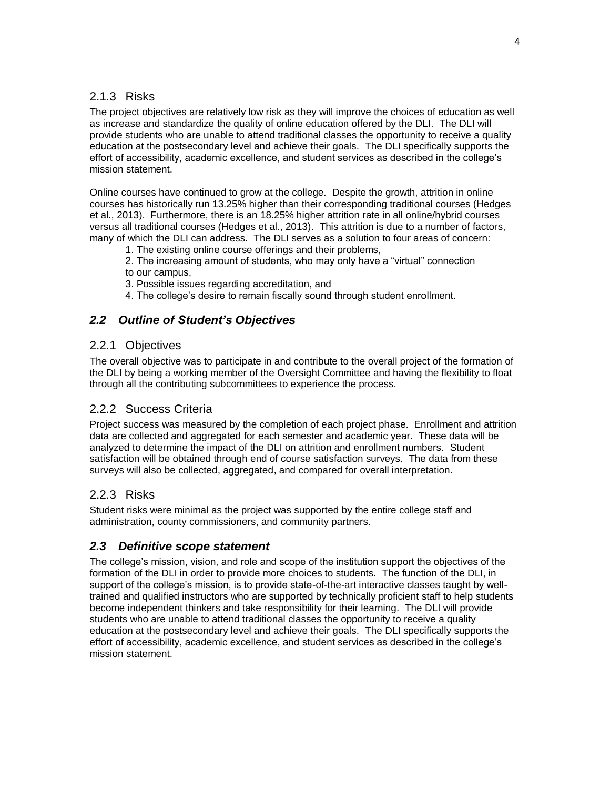#### 2.1.3 Risks

The project objectives are relatively low risk as they will improve the choices of education as well as increase and standardize the quality of online education offered by the DLI. The DLI will provide students who are unable to attend traditional classes the opportunity to receive a quality education at the postsecondary level and achieve their goals. The DLI specifically supports the effort of accessibility, academic excellence, and student services as described in the college's mission statement.

Online courses have continued to grow at the college. Despite the growth, attrition in online courses has historically run 13.25% higher than their corresponding traditional courses (Hedges et al., 2013). Furthermore, there is an 18.25% higher attrition rate in all online/hybrid courses versus all traditional courses (Hedges et al., 2013). This attrition is due to a number of factors, many of which the DLI can address. The DLI serves as a solution to four areas of concern:

- 1. The existing online course offerings and their problems,
- 2. The increasing amount of students, who may only have a "virtual" connection to our campus,
- 3. Possible issues regarding accreditation, and
- 4. The college's desire to remain fiscally sound through student enrollment.

#### *2.2 Outline of Student's Objectives*

#### 2.2.1 Objectives

The overall objective was to participate in and contribute to the overall project of the formation of the DLI by being a working member of the Oversight Committee and having the flexibility to float through all the contributing subcommittees to experience the process.

#### 2.2.2 Success Criteria

Project success was measured by the completion of each project phase. Enrollment and attrition data are collected and aggregated for each semester and academic year. These data will be analyzed to determine the impact of the DLI on attrition and enrollment numbers. Student satisfaction will be obtained through end of course satisfaction surveys. The data from these surveys will also be collected, aggregated, and compared for overall interpretation.

#### 2.2.3 Risks

Student risks were minimal as the project was supported by the entire college staff and administration, county commissioners, and community partners*.* 

#### *2.3 Definitive scope statement*

The college's mission, vision, and role and scope of the institution support the objectives of the formation of the DLI in order to provide more choices to students. The function of the DLI, in support of the college's mission, is to provide state-of-the-art interactive classes taught by welltrained and qualified instructors who are supported by technically proficient staff to help students become independent thinkers and take responsibility for their learning. The DLI will provide students who are unable to attend traditional classes the opportunity to receive a quality education at the postsecondary level and achieve their goals. The DLI specifically supports the effort of accessibility, academic excellence, and student services as described in the college's mission statement.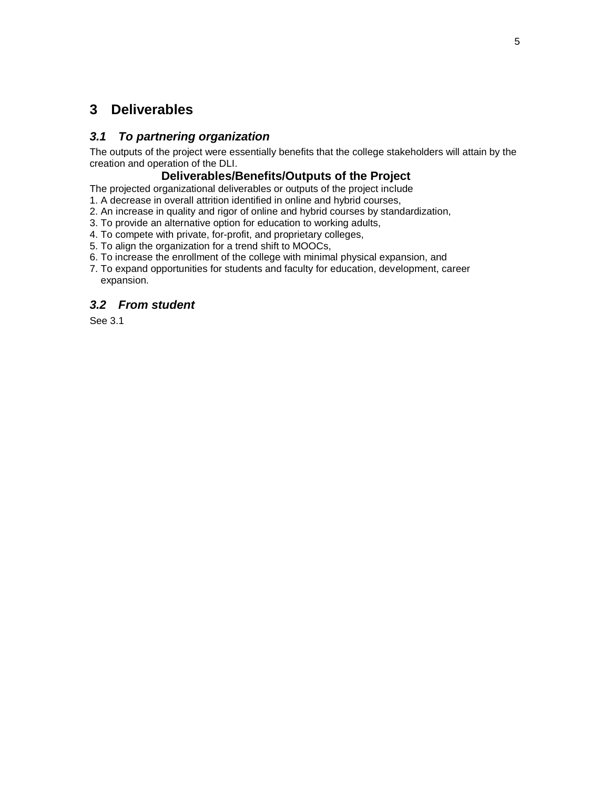#### **3 Deliverables**

#### *3.1 To partnering organization*

The outputs of the project were essentially benefits that the college stakeholders will attain by the creation and operation of the DLI.

#### **Deliverables/Benefits/Outputs of the Project**

The projected organizational deliverables or outputs of the project include

- 1. A decrease in overall attrition identified in online and hybrid courses,
- 2. An increase in quality and rigor of online and hybrid courses by standardization,
- 3. To provide an alternative option for education to working adults,
- 4. To compete with private, for-profit, and proprietary colleges,
- 5. To align the organization for a trend shift to MOOCs,
- 6. To increase the enrollment of the college with minimal physical expansion, and
- 7. To expand opportunities for students and faculty for education, development, career expansion.

#### *3.2 From student*

See 3.1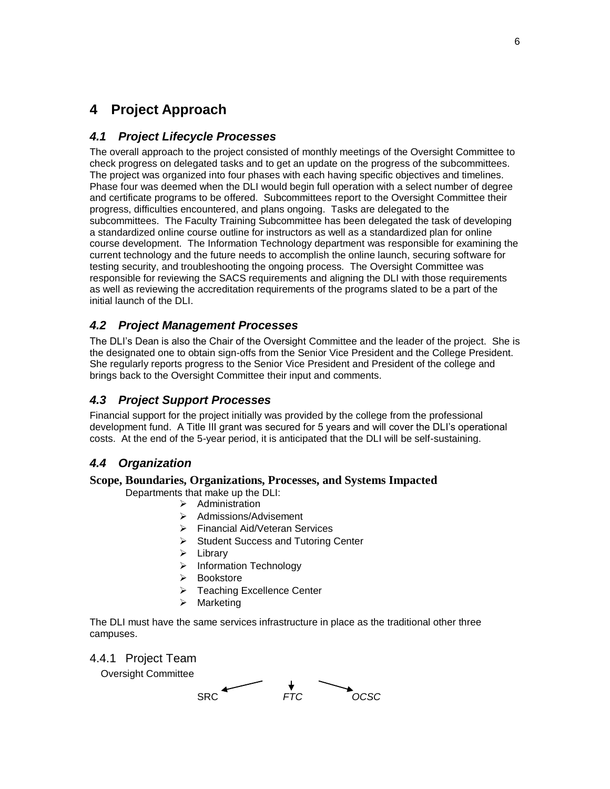#### **4 Project Approach**

#### *4.1 Project Lifecycle Processes*

The overall approach to the project consisted of monthly meetings of the Oversight Committee to check progress on delegated tasks and to get an update on the progress of the subcommittees. The project was organized into four phases with each having specific objectives and timelines. Phase four was deemed when the DLI would begin full operation with a select number of degree and certificate programs to be offered. Subcommittees report to the Oversight Committee their progress, difficulties encountered, and plans ongoing. Tasks are delegated to the subcommittees. The Faculty Training Subcommittee has been delegated the task of developing a standardized online course outline for instructors as well as a standardized plan for online course development. The Information Technology department was responsible for examining the current technology and the future needs to accomplish the online launch, securing software for testing security, and troubleshooting the ongoing process. The Oversight Committee was responsible for reviewing the SACS requirements and aligning the DLI with those requirements as well as reviewing the accreditation requirements of the programs slated to be a part of the initial launch of the DLI.

#### *4.2 Project Management Processes*

The DLI's Dean is also the Chair of the Oversight Committee and the leader of the project. She is the designated one to obtain sign-offs from the Senior Vice President and the College President. She regularly reports progress to the Senior Vice President and President of the college and brings back to the Oversight Committee their input and comments.

#### *4.3 Project Support Processes*

Financial support for the project initially was provided by the college from the professional development fund. A Title III grant was secured for 5 years and will cover the DLI's operational costs. At the end of the 5-year period, it is anticipated that the DLI will be self-sustaining.

#### *4.4 Organization*

#### **Scope, Boundaries, Organizations, Processes, and Systems Impacted**

Departments that make up the DLI:

- $\triangleright$  Administration
- > Admissions/Advisement
- Financial Aid/Veteran Services
- $\triangleright$  Student Success and Tutoring Center
- $\triangleright$  Library
- > Information Technology
- Bookstore
- Teaching Excellence Center
- $\triangleright$  Marketing

The DLI must have the same services infrastructure in place as the traditional other three campuses.

#### 4.4.1 Project Team

Oversight Committee

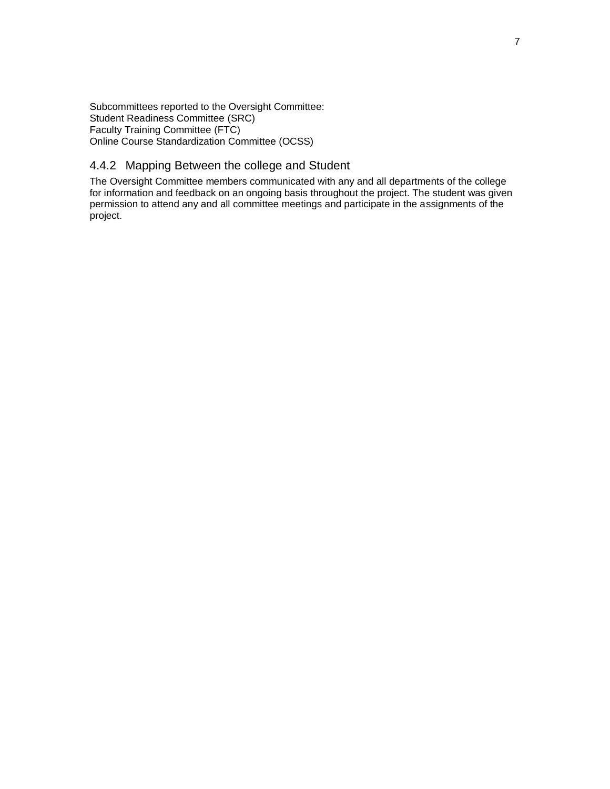Subcommittees reported to the Oversight Committee: Student Readiness Committee (SRC) Faculty Training Committee (FTC) Online Course Standardization Committee (OCSS)

#### 4.4.2 Mapping Between the college and Student

The Oversight Committee members communicated with any and all departments of the college for information and feedback on an ongoing basis throughout the project. The student was given permission to attend any and all committee meetings and participate in the assignments of the project.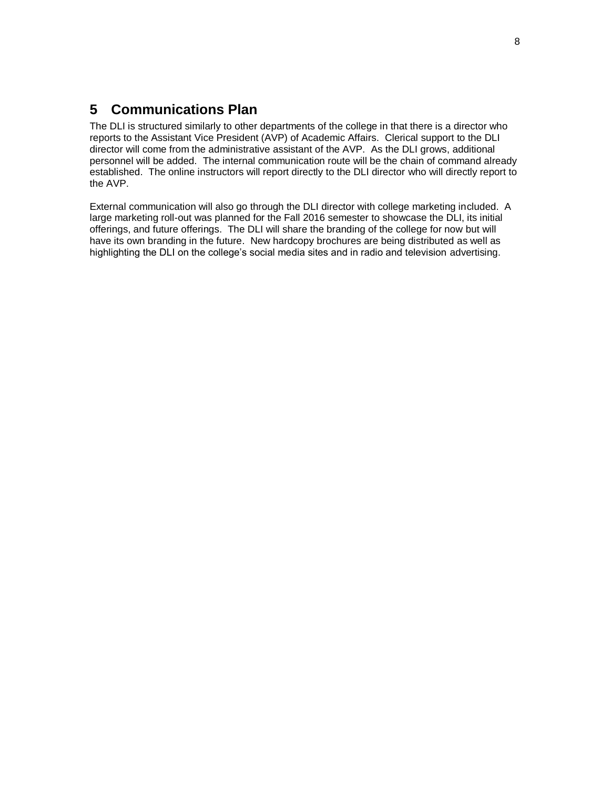#### **5 Communications Plan**

The DLI is structured similarly to other departments of the college in that there is a director who reports to the Assistant Vice President (AVP) of Academic Affairs. Clerical support to the DLI director will come from the administrative assistant of the AVP. As the DLI grows, additional personnel will be added. The internal communication route will be the chain of command already established. The online instructors will report directly to the DLI director who will directly report to the AVP.

External communication will also go through the DLI director with college marketing included. A large marketing roll-out was planned for the Fall 2016 semester to showcase the DLI, its initial offerings, and future offerings. The DLI will share the branding of the college for now but will have its own branding in the future. New hardcopy brochures are being distributed as well as highlighting the DLI on the college's social media sites and in radio and television advertising.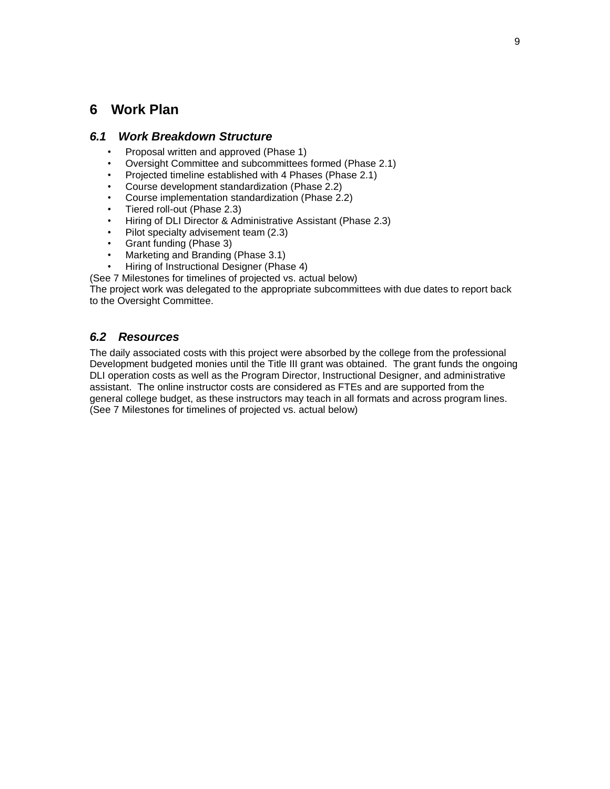#### **6 Work Plan**

#### *6.1 Work Breakdown Structure*

- Proposal written and approved (Phase 1)
- Oversight Committee and subcommittees formed (Phase 2.1)
- Projected timeline established with 4 Phases (Phase 2.1)
- Course development standardization (Phase 2.2)
- Course implementation standardization (Phase 2.2)
- Tiered roll-out (Phase 2.3)
- Hiring of DLI Director & Administrative Assistant (Phase 2.3)
- Pilot specialty advisement team (2.3)
- Grant funding (Phase 3)
- Marketing and Branding (Phase 3.1)
- Hiring of Instructional Designer (Phase 4)
- (See 7 Milestones for timelines of projected vs. actual below)

The project work was delegated to the appropriate subcommittees with due dates to report back to the Oversight Committee.

#### *6.2 Resources*

The daily associated costs with this project were absorbed by the college from the professional Development budgeted monies until the Title III grant was obtained. The grant funds the ongoing DLI operation costs as well as the Program Director, Instructional Designer, and administrative assistant. The online instructor costs are considered as FTEs and are supported from the general college budget, as these instructors may teach in all formats and across program lines. (See 7 Milestones for timelines of projected vs. actual below)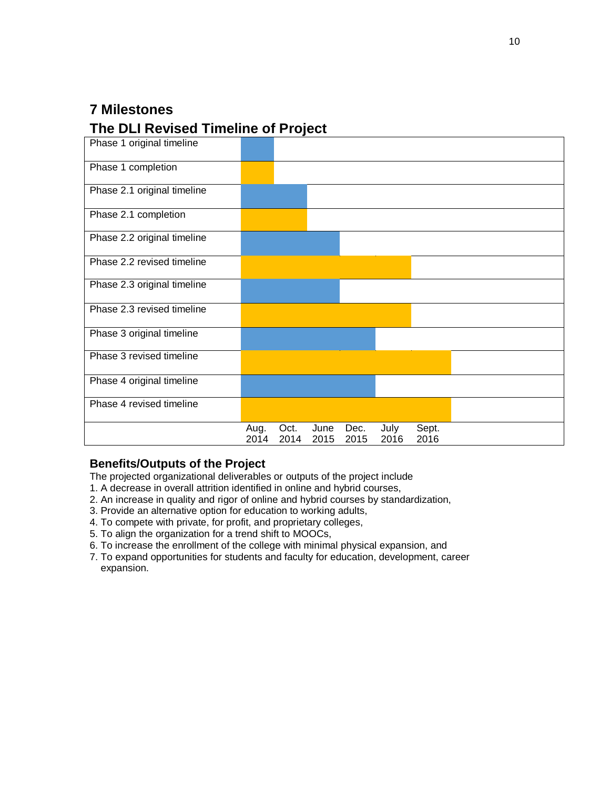### **7 Milestones**

#### **The DLI Revised Timeline of Project**



#### **Benefits/Outputs of the Project**

The projected organizational deliverables or outputs of the project include

- 1. A decrease in overall attrition identified in online and hybrid courses,
- 2. An increase in quality and rigor of online and hybrid courses by standardization,
- 3. Provide an alternative option for education to working adults,
- 4. To compete with private, for profit, and proprietary colleges,
- 5. To align the organization for a trend shift to MOOCs,
- 6. To increase the enrollment of the college with minimal physical expansion, and
- 7. To expand opportunities for students and faculty for education, development, career expansion.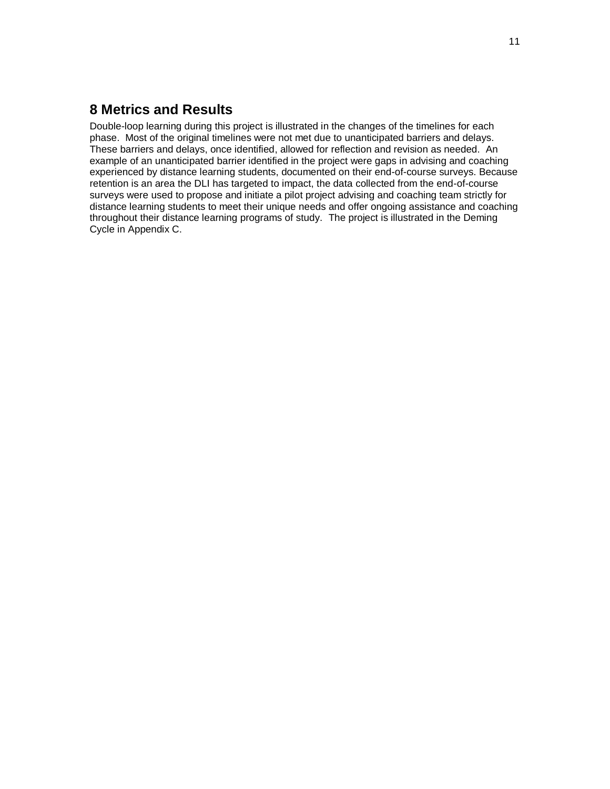#### **8 Metrics and Results**

Double-loop learning during this project is illustrated in the changes of the timelines for each phase. Most of the original timelines were not met due to unanticipated barriers and delays. These barriers and delays, once identified, allowed for reflection and revision as needed. An example of an unanticipated barrier identified in the project were gaps in advising and coaching experienced by distance learning students, documented on their end-of-course surveys. Because retention is an area the DLI has targeted to impact, the data collected from the end-of-course surveys were used to propose and initiate a pilot project advising and coaching team strictly for distance learning students to meet their unique needs and offer ongoing assistance and coaching throughout their distance learning programs of study. The project is illustrated in the Deming Cycle in Appendix C.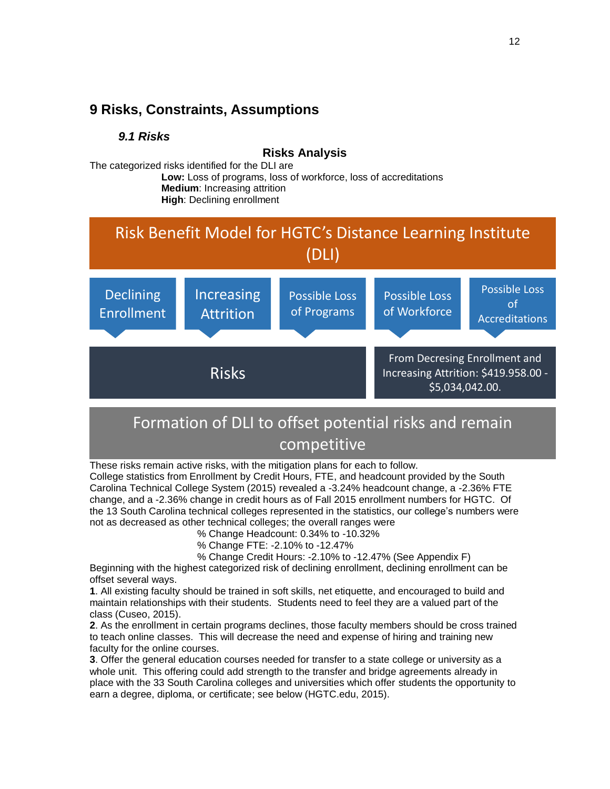#### **9 Risks, Constraints, Assumptions**

#### *9.1 Risks*

**Risks Analysis**

The categorized risks identified for the DLI are

**Low:** Loss of programs, loss of workforce, loss of accreditations **Medium**: Increasing attrition **High**: Declining enrollment



# Formation of DLI to offset potential risks and remain competitive

These risks remain active risks, with the mitigation plans for each to follow.

College statistics from Enrollment by Credit Hours, FTE, and headcount provided by the South Carolina Technical College System (2015) revealed a -3.24% headcount change, a -2.36% FTE change, and a -2.36% change in credit hours as of Fall 2015 enrollment numbers for HGTC. Of the 13 South Carolina technical colleges represented in the statistics, our college's numbers were not as decreased as other technical colleges; the overall ranges were

% Change Headcount: 0.34% to -10.32%

- % Change FTE: -2.10% to -12.47%
- % Change Credit Hours: -2.10% to -12.47% (See Appendix F)

Beginning with the highest categorized risk of declining enrollment, declining enrollment can be offset several ways.

**1**. All existing faculty should be trained in soft skills, net etiquette, and encouraged to build and maintain relationships with their students. Students need to feel they are a valued part of the class (Cuseo, 2015).

**2**. As the enrollment in certain programs declines, those faculty members should be cross trained to teach online classes. This will decrease the need and expense of hiring and training new faculty for the online courses.

**3**. Offer the general education courses needed for transfer to a state college or university as a whole unit. This offering could add strength to the transfer and bridge agreements already in place with the 33 South Carolina colleges and universities which offer students the opportunity to earn a degree, diploma, or certificate; see below (HGTC.edu, 2015).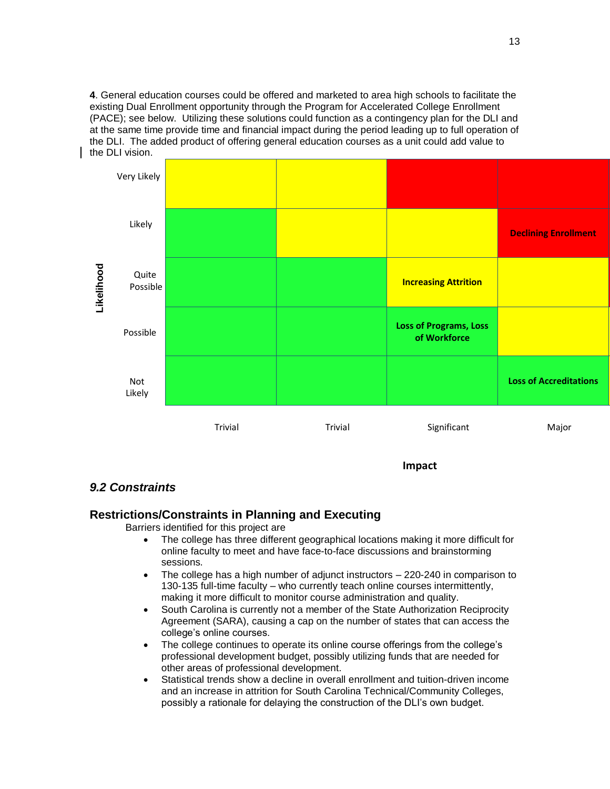**4**. General education courses could be offered and marketed to area high schools to facilitate the existing Dual Enrollment opportunity through the Program for Accelerated College Enrollment (PACE); see below. Utilizing these solutions could function as a contingency plan for the DLI and at the same time provide time and financial impact during the period leading up to full operation of the DLI. The added product of offering general education courses as a unit could add value to the DLI vision.



#### *9.2 Constraints*

#### **Restrictions/Constraints in Planning and Executing**

Barriers identified for this project are

- The college has three different geographical locations making it more difficult for online faculty to meet and have face-to-face discussions and brainstorming sessions.
- The college has a high number of adjunct instructors 220-240 in comparison to 130-135 full-time faculty – who currently teach online courses intermittently, making it more difficult to monitor course administration and quality.
- South Carolina is currently not a member of the State Authorization Reciprocity Agreement (SARA), causing a cap on the number of states that can access the college's online courses.
- The college continues to operate its online course offerings from the college's professional development budget, possibly utilizing funds that are needed for other areas of professional development.
- Statistical trends show a decline in overall enrollment and tuition-driven income and an increase in attrition for South Carolina Technical/Community Colleges, possibly a rationale for delaying the construction of the DLI's own budget.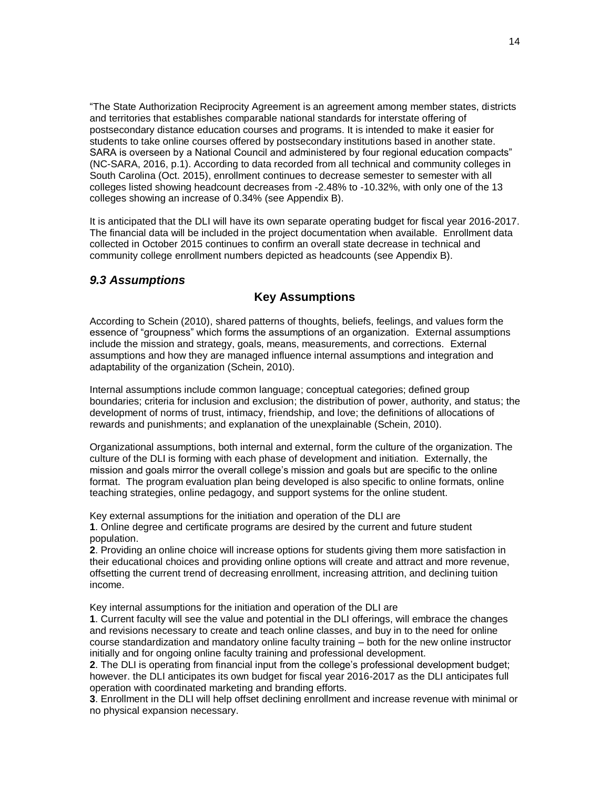"The State Authorization Reciprocity Agreement is an agreement among member states, districts and territories that establishes comparable national standards for interstate offering of postsecondary distance education courses and programs. It is intended to make it easier for students to take online courses offered by postsecondary institutions based in another state. SARA is overseen by a National Council and administered by four regional education compacts" (NC-SARA, 2016, p.1). According to data recorded from all technical and community colleges in South Carolina (Oct. 2015), enrollment continues to decrease semester to semester with all colleges listed showing headcount decreases from -2.48% to -10.32%, with only one of the 13 colleges showing an increase of 0.34% (see Appendix B).

It is anticipated that the DLI will have its own separate operating budget for fiscal year 2016-2017. The financial data will be included in the project documentation when available. Enrollment data collected in October 2015 continues to confirm an overall state decrease in technical and community college enrollment numbers depicted as headcounts (see Appendix B).

#### *9.3 Assumptions*

#### **Key Assumptions**

According to Schein (2010), shared patterns of thoughts, beliefs, feelings, and values form the essence of "groupness" which forms the assumptions of an organization. External assumptions include the mission and strategy, goals, means, measurements, and corrections. External assumptions and how they are managed influence internal assumptions and integration and adaptability of the organization (Schein, 2010).

Internal assumptions include common language; conceptual categories; defined group boundaries; criteria for inclusion and exclusion; the distribution of power, authority, and status; the development of norms of trust, intimacy, friendship, and love; the definitions of allocations of rewards and punishments; and explanation of the unexplainable (Schein, 2010).

Organizational assumptions, both internal and external, form the culture of the organization. The culture of the DLI is forming with each phase of development and initiation. Externally, the mission and goals mirror the overall college's mission and goals but are specific to the online format. The program evaluation plan being developed is also specific to online formats, online teaching strategies, online pedagogy, and support systems for the online student.

Key external assumptions for the initiation and operation of the DLI are **1**. Online degree and certificate programs are desired by the current and future student population.

**2**. Providing an online choice will increase options for students giving them more satisfaction in their educational choices and providing online options will create and attract and more revenue, offsetting the current trend of decreasing enrollment, increasing attrition, and declining tuition income.

Key internal assumptions for the initiation and operation of the DLI are

**1**. Current faculty will see the value and potential in the DLI offerings, will embrace the changes and revisions necessary to create and teach online classes, and buy in to the need for online course standardization and mandatory online faculty training – both for the new online instructor initially and for ongoing online faculty training and professional development.

**2**. The DLI is operating from financial input from the college's professional development budget; however. the DLI anticipates its own budget for fiscal year 2016-2017 as the DLI anticipates full operation with coordinated marketing and branding efforts.

**3**. Enrollment in the DLI will help offset declining enrollment and increase revenue with minimal or no physical expansion necessary.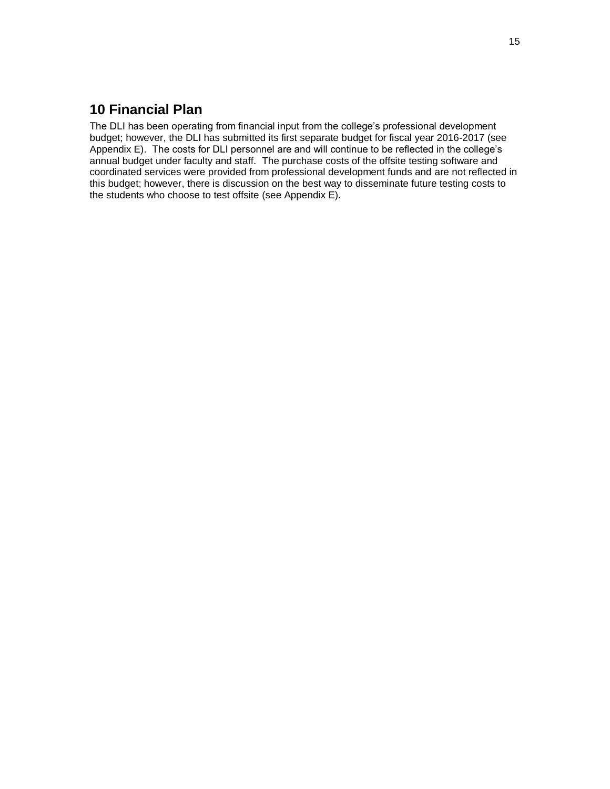#### **10 Financial Plan**

The DLI has been operating from financial input from the college's professional development budget; however, the DLI has submitted its first separate budget for fiscal year 2016-2017 (see Appendix E). The costs for DLI personnel are and will continue to be reflected in the college's annual budget under faculty and staff. The purchase costs of the offsite testing software and coordinated services were provided from professional development funds and are not reflected in this budget; however, there is discussion on the best way to disseminate future testing costs to the students who choose to test offsite (see Appendix E).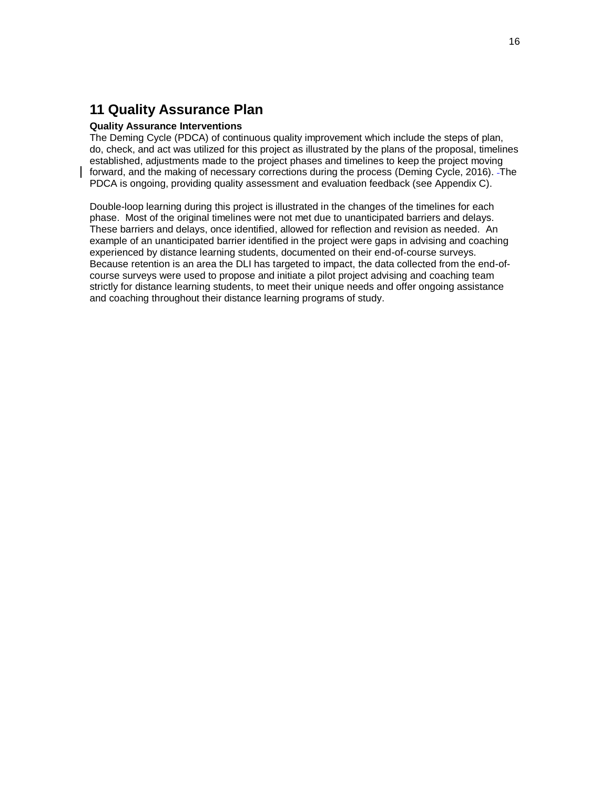#### **11 Quality Assurance Plan**

#### **Quality Assurance Interventions**

The Deming Cycle (PDCA) of continuous quality improvement which include the steps of plan, do, check, and act was utilized for this project as illustrated by the plans of the proposal, timelines established, adjustments made to the project phases and timelines to keep the project moving forward, and the making of necessary corrections during the process (Deming Cycle, 2016). The PDCA is ongoing, providing quality assessment and evaluation feedback (see Appendix C).

Double-loop learning during this project is illustrated in the changes of the timelines for each phase. Most of the original timelines were not met due to unanticipated barriers and delays. These barriers and delays, once identified, allowed for reflection and revision as needed. An example of an unanticipated barrier identified in the project were gaps in advising and coaching experienced by distance learning students, documented on their end-of-course surveys. Because retention is an area the DLI has targeted to impact, the data collected from the end-ofcourse surveys were used to propose and initiate a pilot project advising and coaching team strictly for distance learning students, to meet their unique needs and offer ongoing assistance and coaching throughout their distance learning programs of study.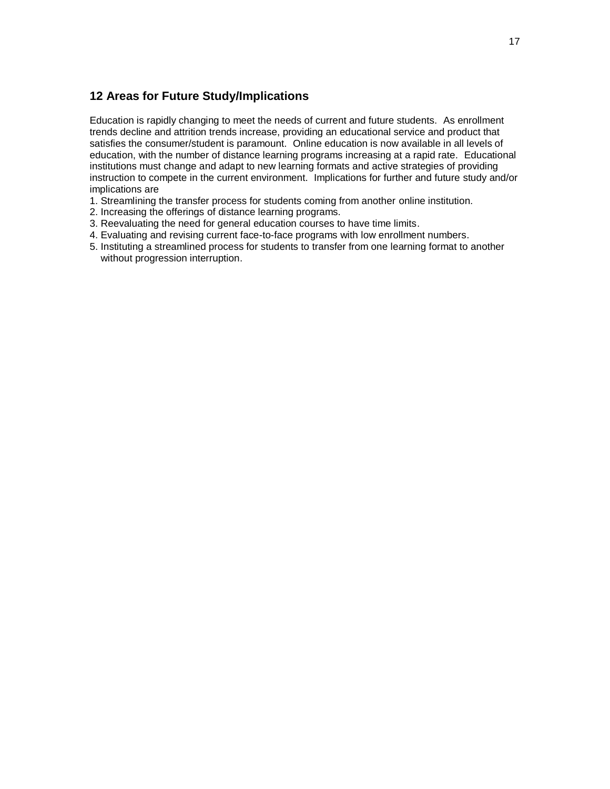#### **12 Areas for Future Study/Implications**

Education is rapidly changing to meet the needs of current and future students. As enrollment trends decline and attrition trends increase, providing an educational service and product that satisfies the consumer/student is paramount. Online education is now available in all levels of education, with the number of distance learning programs increasing at a rapid rate. Educational institutions must change and adapt to new learning formats and active strategies of providing instruction to compete in the current environment. Implications for further and future study and/or implications are

- 1. Streamlining the transfer process for students coming from another online institution.
- 2. Increasing the offerings of distance learning programs.
- 3. Reevaluating the need for general education courses to have time limits.
- 4. Evaluating and revising current face-to-face programs with low enrollment numbers.
- 5. Instituting a streamlined process for students to transfer from one learning format to another without progression interruption.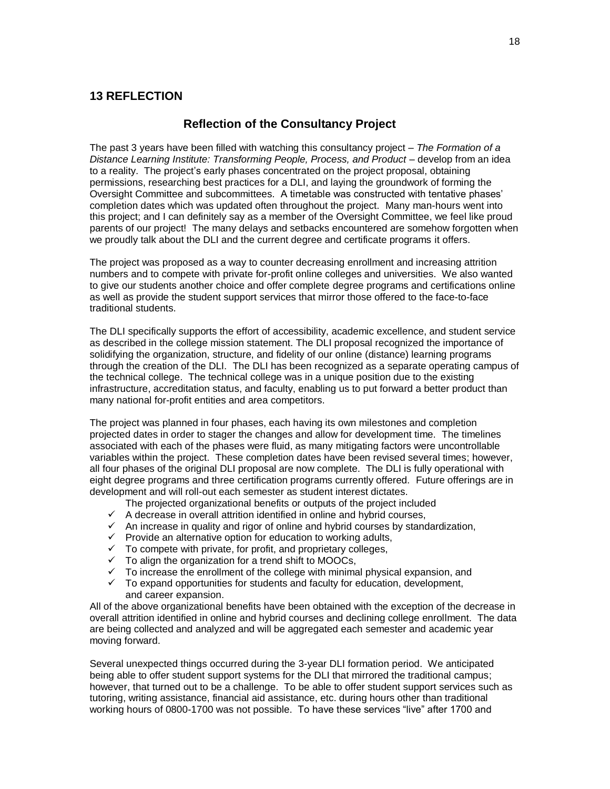#### **13 REFLECTION**

#### **Reflection of the Consultancy Project**

The past 3 years have been filled with watching this consultancy project – *The Formation of a*  Distance Learning Institute: Transforming People, Process, and Product - develop from an idea to a reality. The project's early phases concentrated on the project proposal, obtaining permissions, researching best practices for a DLI, and laying the groundwork of forming the Oversight Committee and subcommittees. A timetable was constructed with tentative phases' completion dates which was updated often throughout the project. Many man-hours went into this project; and I can definitely say as a member of the Oversight Committee, we feel like proud parents of our project! The many delays and setbacks encountered are somehow forgotten when we proudly talk about the DLI and the current degree and certificate programs it offers.

The project was proposed as a way to counter decreasing enrollment and increasing attrition numbers and to compete with private for-profit online colleges and universities. We also wanted to give our students another choice and offer complete degree programs and certifications online as well as provide the student support services that mirror those offered to the face-to-face traditional students.

The DLI specifically supports the effort of accessibility, academic excellence, and student service as described in the college mission statement. The DLI proposal recognized the importance of solidifying the organization, structure, and fidelity of our online (distance) learning programs through the creation of the DLI. The DLI has been recognized as a separate operating campus of the technical college. The technical college was in a unique position due to the existing infrastructure, accreditation status, and faculty, enabling us to put forward a better product than many national for-profit entities and area competitors.

The project was planned in four phases, each having its own milestones and completion projected dates in order to stager the changes and allow for development time. The timelines associated with each of the phases were fluid, as many mitigating factors were uncontrollable variables within the project. These completion dates have been revised several times; however, all four phases of the original DLI proposal are now complete. The DLI is fully operational with eight degree programs and three certification programs currently offered. Future offerings are in development and will roll-out each semester as student interest dictates.

The projected organizational benefits or outputs of the project included

- $\checkmark$  A decrease in overall attrition identified in online and hybrid courses,
- $\checkmark$  An increase in quality and rigor of online and hybrid courses by standardization,
- $\checkmark$  Provide an alternative option for education to working adults,
- $\checkmark$  To compete with private, for profit, and proprietary colleges,
- $\checkmark$  To align the organization for a trend shift to MOOCs,
- $\checkmark$  To increase the enrollment of the college with minimal physical expansion, and
- $\checkmark$  To expand opportunities for students and faculty for education, development, and career expansion.

All of the above organizational benefits have been obtained with the exception of the decrease in overall attrition identified in online and hybrid courses and declining college enrollment. The data are being collected and analyzed and will be aggregated each semester and academic year moving forward.

Several unexpected things occurred during the 3-year DLI formation period. We anticipated being able to offer student support systems for the DLI that mirrored the traditional campus; however, that turned out to be a challenge. To be able to offer student support services such as tutoring, writing assistance, financial aid assistance, etc. during hours other than traditional working hours of 0800-1700 was not possible. To have these services "live" after 1700 and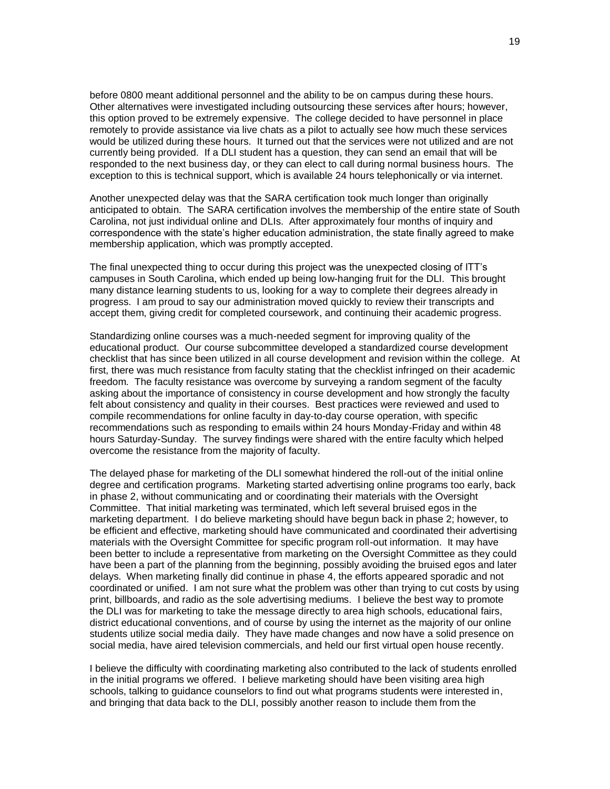before 0800 meant additional personnel and the ability to be on campus during these hours. Other alternatives were investigated including outsourcing these services after hours; however, this option proved to be extremely expensive. The college decided to have personnel in place remotely to provide assistance via live chats as a pilot to actually see how much these services would be utilized during these hours. It turned out that the services were not utilized and are not currently being provided. If a DLI student has a question, they can send an email that will be responded to the next business day, or they can elect to call during normal business hours. The exception to this is technical support, which is available 24 hours telephonically or via internet.

Another unexpected delay was that the SARA certification took much longer than originally anticipated to obtain. The SARA certification involves the membership of the entire state of South Carolina, not just individual online and DLIs. After approximately four months of inquiry and correspondence with the state's higher education administration, the state finally agreed to make membership application, which was promptly accepted.

The final unexpected thing to occur during this project was the unexpected closing of ITT's campuses in South Carolina, which ended up being low-hanging fruit for the DLI. This brought many distance learning students to us, looking for a way to complete their degrees already in progress. I am proud to say our administration moved quickly to review their transcripts and accept them, giving credit for completed coursework, and continuing their academic progress.

Standardizing online courses was a much-needed segment for improving quality of the educational product. Our course subcommittee developed a standardized course development checklist that has since been utilized in all course development and revision within the college. At first, there was much resistance from faculty stating that the checklist infringed on their academic freedom. The faculty resistance was overcome by surveying a random segment of the faculty asking about the importance of consistency in course development and how strongly the faculty felt about consistency and quality in their courses. Best practices were reviewed and used to compile recommendations for online faculty in day-to-day course operation, with specific recommendations such as responding to emails within 24 hours Monday-Friday and within 48 hours Saturday-Sunday. The survey findings were shared with the entire faculty which helped overcome the resistance from the majority of faculty.

The delayed phase for marketing of the DLI somewhat hindered the roll-out of the initial online degree and certification programs. Marketing started advertising online programs too early, back in phase 2, without communicating and or coordinating their materials with the Oversight Committee. That initial marketing was terminated, which left several bruised egos in the marketing department. I do believe marketing should have begun back in phase 2; however, to be efficient and effective, marketing should have communicated and coordinated their advertising materials with the Oversight Committee for specific program roll-out information. It may have been better to include a representative from marketing on the Oversight Committee as they could have been a part of the planning from the beginning, possibly avoiding the bruised egos and later delays. When marketing finally did continue in phase 4, the efforts appeared sporadic and not coordinated or unified. I am not sure what the problem was other than trying to cut costs by using print, billboards, and radio as the sole advertising mediums. I believe the best way to promote the DLI was for marketing to take the message directly to area high schools, educational fairs, district educational conventions, and of course by using the internet as the majority of our online students utilize social media daily. They have made changes and now have a solid presence on social media, have aired television commercials, and held our first virtual open house recently.

I believe the difficulty with coordinating marketing also contributed to the lack of students enrolled in the initial programs we offered. I believe marketing should have been visiting area high schools, talking to guidance counselors to find out what programs students were interested in, and bringing that data back to the DLI, possibly another reason to include them from the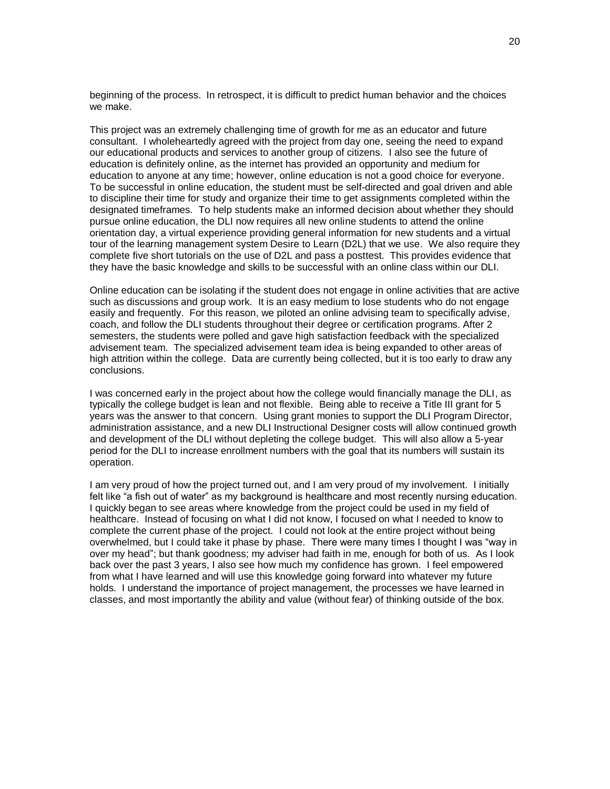beginning of the process. In retrospect, it is difficult to predict human behavior and the choices we make.

This project was an extremely challenging time of growth for me as an educator and future consultant. I wholeheartedly agreed with the project from day one, seeing the need to expand our educational products and services to another group of citizens. I also see the future of education is definitely online, as the internet has provided an opportunity and medium for education to anyone at any time; however, online education is not a good choice for everyone. To be successful in online education, the student must be self-directed and goal driven and able to discipline their time for study and organize their time to get assignments completed within the designated timeframes. To help students make an informed decision about whether they should pursue online education, the DLI now requires all new online students to attend the online orientation day, a virtual experience providing general information for new students and a virtual tour of the learning management system Desire to Learn (D2L) that we use. We also require they complete five short tutorials on the use of D2L and pass a posttest. This provides evidence that they have the basic knowledge and skills to be successful with an online class within our DLI.

Online education can be isolating if the student does not engage in online activities that are active such as discussions and group work. It is an easy medium to lose students who do not engage easily and frequently. For this reason, we piloted an online advising team to specifically advise, coach, and follow the DLI students throughout their degree or certification programs. After 2 semesters, the students were polled and gave high satisfaction feedback with the specialized advisement team. The specialized advisement team idea is being expanded to other areas of high attrition within the college. Data are currently being collected, but it is too early to draw any conclusions.

I was concerned early in the project about how the college would financially manage the DLI, as typically the college budget is lean and not flexible. Being able to receive a Title III grant for 5 years was the answer to that concern. Using grant monies to support the DLI Program Director, administration assistance, and a new DLI Instructional Designer costs will allow continued growth and development of the DLI without depleting the college budget. This will also allow a 5-year period for the DLI to increase enrollment numbers with the goal that its numbers will sustain its operation.

I am very proud of how the project turned out, and I am very proud of my involvement. I initially felt like "a fish out of water" as my background is healthcare and most recently nursing education. I quickly began to see areas where knowledge from the project could be used in my field of healthcare. Instead of focusing on what I did not know, I focused on what I needed to know to complete the current phase of the project. I could not look at the entire project without being overwhelmed, but I could take it phase by phase. There were many times I thought I was "way in over my head"; but thank goodness; my adviser had faith in me, enough for both of us. As I look back over the past 3 years, I also see how much my confidence has grown. I feel empowered from what I have learned and will use this knowledge going forward into whatever my future holds. I understand the importance of project management, the processes we have learned in classes, and most importantly the ability and value (without fear) of thinking outside of the box.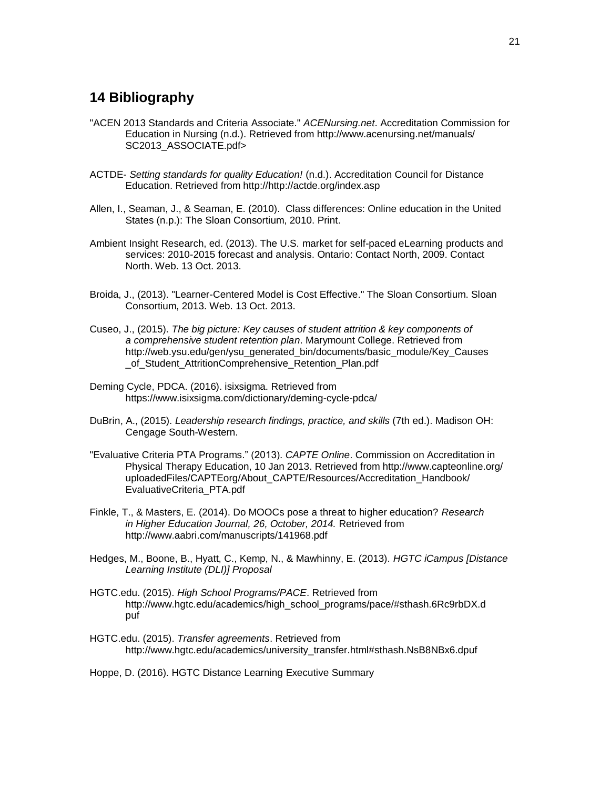#### **14 Bibliography**

- "ACEN 2013 Standards and Criteria Associate." *ACENursing.net*. Accreditation Commission for Education in Nursing (n.d.). Retrieved from http://www.acenursing.net/manuals/ SC2013\_ASSOCIATE.pdf>
- ACTDE- *Setting standards for quality Education!* (n.d.). Accreditation Council for Distance Education. Retrieved from http://http://actde.org/index.asp
- Allen, I., Seaman, J., & Seaman, E. (2010). Class differences: Online education in the United States (n.p.): The Sloan Consortium, 2010. Print.
- Ambient Insight Research, ed. (2013). The U.S. market for self-paced eLearning products and services: 2010-2015 forecast and analysis. Ontario: Contact North, 2009. Contact North. Web. 13 Oct. 2013.
- Broida, J., (2013). "Learner-Centered Model is Cost Effective." The Sloan Consortium. Sloan Consortium, 2013. Web. 13 Oct. 2013.
- Cuseo, J., (2015). *The big picture: Key causes of student attrition & key components of a comprehensive student retention plan*. Marymount College. Retrieved from http://web.ysu.edu/gen/ysu\_generated\_bin/documents/basic\_module/Key\_Causes of Student AttritionComprehensive Retention Plan.pdf
- Deming Cycle, PDCA. (2016). isixsigma. Retrieved from https://www.isixsigma.com/dictionary/deming-cycle-pdca/
- DuBrin, A., (2015). *Leadership research findings, practice, and skills* (7th ed.). Madison OH: Cengage South-Western.
- "Evaluative Criteria PTA Programs." (2013). *CAPTE Online*. Commission on Accreditation in Physical Therapy Education, 10 Jan 2013. Retrieved from http://www.capteonline.org/ uploadedFiles/CAPTEorg/About\_CAPTE/Resources/Accreditation\_Handbook/ EvaluativeCriteria\_PTA.pdf
- Finkle, T., & Masters, E. (2014). Do MOOCs pose a threat to higher education? *Research in Higher Education Journal, 26, October, 2014.* Retrieved from http://www.aabri.com/manuscripts/141968.pdf
- Hedges, M., Boone, B., Hyatt, C., Kemp, N., & Mawhinny, E. (2013). *HGTC iCampus [Distance Learning Institute (DLI)] Proposal*
- HGTC.edu. (2015). *High School Programs/PACE*. Retrieved from http://www.hgtc.edu/academics/high\_school\_programs/pace/#sthash.6Rc9rbDX.d puf
- HGTC.edu. (2015). *Transfer agreements*. Retrieved from http://www.hgtc.edu/academics/university\_transfer.html#sthash.NsB8NBx6.dpuf

Hoppe, D. (2016). HGTC Distance Learning Executive Summary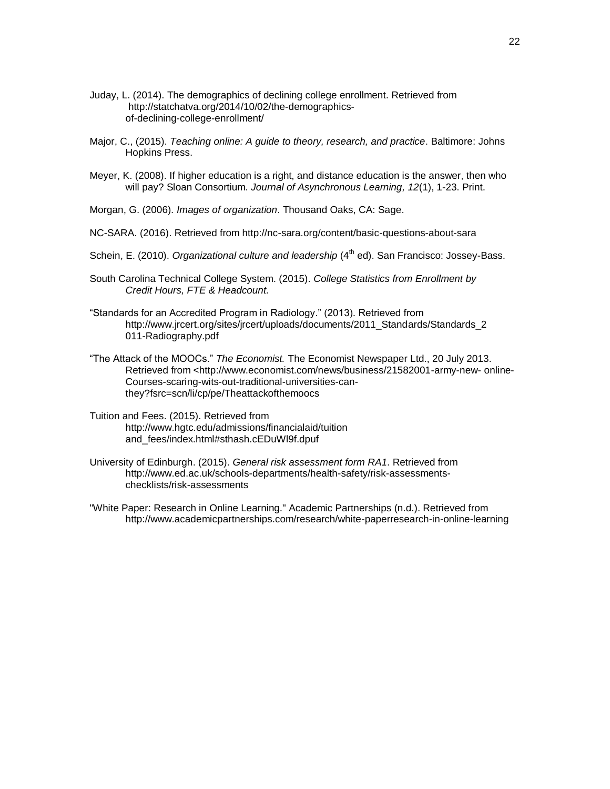- Juday, L. (2014). The demographics of declining college enrollment. Retrieved from http://statchatva.org/2014/10/02/the-demographicsof-declining-college-enrollment/
- Major, C., (2015). *Teaching online: A guide to theory, research, and practice*. Baltimore: Johns Hopkins Press.
- Meyer, K. (2008). If higher education is a right, and distance education is the answer, then who will pay? Sloan Consortium. *Journal of Asynchronous Learning, 12*(1), 1-23. Print.
- Morgan, G. (2006). *Images of organization*. Thousand Oaks, CA: Sage.
- NC-SARA. (2016). Retrieved from http://nc-sara.org/content/basic-questions-about-sara
- Schein, E. (2010). *Organizational culture and leadership* (4<sup>th</sup> ed). San Francisco: Jossey-Bass.
- South Carolina Technical College System. (2015). *College Statistics from Enrollment by Credit Hours, FTE & Headcount.*
- "Standards for an Accredited Program in Radiology." (2013). Retrieved from http://www.jrcert.org/sites/jrcert/uploads/documents/2011\_Standards/Standards\_2 011-Radiography.pdf
- "The Attack of the MOOCs." *The Economist.* The Economist Newspaper Ltd., 20 July 2013. Retrieved from <http://www.economist.com/news/business/21582001-army-new- online-Courses-scaring-wits-out-traditional-universities-canthey?fsrc=scn/li/cp/pe/Theattackofthemoocs
- Tuition and Fees. (2015). Retrieved from http://www.hgtc.edu/admissions/financialaid/tuition and\_fees/index.html#sthash.cEDuWl9f.dpuf
- University of Edinburgh. (2015). *General risk assessment form RA1*. Retrieved from http://www.ed.ac.uk/schools-departments/health-safety/risk-assessmentschecklists/risk-assessments
- "White Paper: Research in Online Learning." Academic Partnerships (n.d.). Retrieved from http://www.academicpartnerships.com/research/white-paperresearch-in-online-learning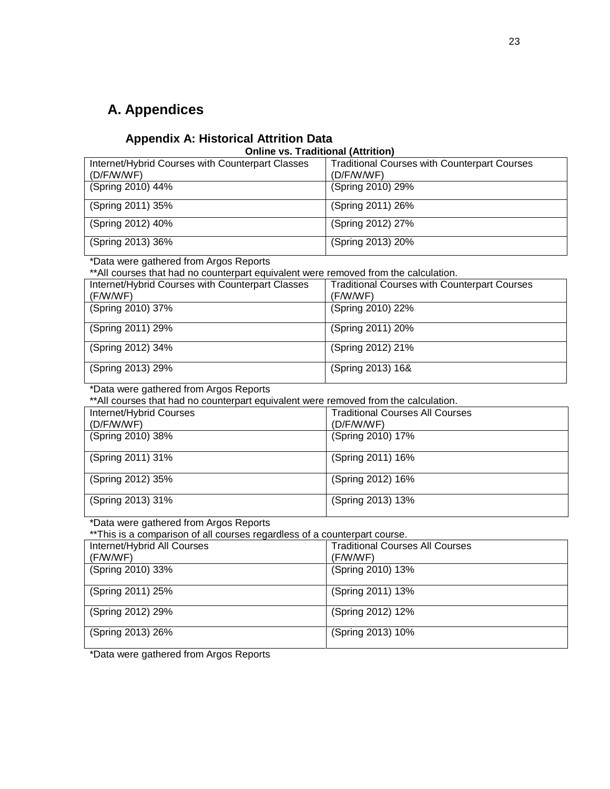#### **A. Appendices**

#### **Appendix A: Historical Attrition Data**

#### **Online vs. Traditional (Attrition)**

| Internet/Hybrid Courses with Counterpart Classes<br>(D/F/W/WF) | <b>Traditional Courses with Counterpart Courses</b><br>(D/F/W/WF) |
|----------------------------------------------------------------|-------------------------------------------------------------------|
| (Spring 2010) 44%                                              | (Spring 2010) 29%                                                 |
| (Spring 2011) 35%                                              | (Spring 2011) 26%                                                 |
| (Spring 2012) 40%                                              | (Spring 2012) 27%                                                 |
| (Spring 2013) 36%                                              | (Spring 2013) 20%                                                 |
|                                                                |                                                                   |

#### \*Data were gathered from Argos Reports

\*\*All courses that had no counterpart equivalent were removed from the calculation.

| Internet/Hybrid Courses with Counterpart Classes | <b>Traditional Courses with Counterpart Courses</b> |
|--------------------------------------------------|-----------------------------------------------------|
| (F/W/WF)                                         | (F/W/WF)                                            |
| (Spring 2010) 37%                                | (Spring 2010) 22%                                   |
| (Spring 2011) 29%                                | (Spring 2011) 20%                                   |
| (Spring 2012) 34%                                | (Spring 2012) 21%                                   |
| (Spring 2013) 29%                                | (Spring 2013) 16&                                   |

\*Data were gathered from Argos Reports

\*\*All courses that had no counterpart equivalent were removed from the calculation.

| Internet/Hybrid Courses | <b>Traditional Courses All Courses</b> |
|-------------------------|----------------------------------------|
| (D/F/W/WF)              | (D/F/W/WF)                             |
| (Spring 2010) 38%       | (Spring 2010) 17%                      |
|                         |                                        |
| (Spring 2011) 31%       | (Spring 2011) 16%                      |
| (Spring 2012) 35%       | (Spring 2012) 16%                      |
| (Spring 2013) 31%       | (Spring 2013) 13%                      |

\*Data were gathered from Argos Reports

\*\*This is a comparison of all courses regardless of a counterpart course.

| Internet/Hybrid All Courses | <b>Traditional Courses All Courses</b> |
|-----------------------------|----------------------------------------|
| (F/W/WF)                    | (F/W/WF)                               |
| (Spring 2010) 33%           | (Spring 2010) 13%                      |
| (Spring 2011) 25%           | (Spring 2011) 13%                      |
| (Spring 2012) 29%           | (Spring 2012) 12%                      |
| (Spring 2013) 26%           | (Spring 2013) 10%                      |

\*Data were gathered from Argos Reports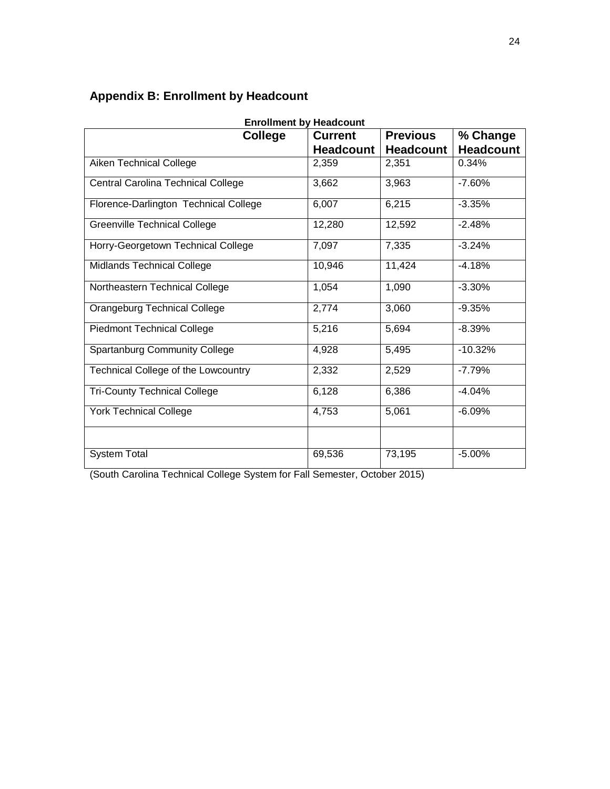## **Appendix B: Enrollment by Headcount**

| <b>Enrollment by Headcount</b>        |                  |                  |                  |
|---------------------------------------|------------------|------------------|------------------|
| <b>College</b>                        | <b>Current</b>   | <b>Previous</b>  | % Change         |
|                                       | <b>Headcount</b> | <b>Headcount</b> | <b>Headcount</b> |
| Aiken Technical College               | 2,359            | 2,351            | 0.34%            |
| Central Carolina Technical College    | 3,662            | 3,963            | $-7.60%$         |
| Florence-Darlington Technical College | 6,007            | 6,215            | $-3.35%$         |
| <b>Greenville Technical College</b>   | 12,280           | 12,592           | $-2.48%$         |
| Horry-Georgetown Technical College    | 7,097            | 7,335            | $-3.24%$         |
| <b>Midlands Technical College</b>     | 10,946           | 11,424           | $-4.18%$         |
| Northeastern Technical College        | 1,054            | 1,090            | $-3.30%$         |
| Orangeburg Technical College          | 2,774            | 3,060            | $-9.35%$         |
| <b>Piedmont Technical College</b>     | 5,216            | 5,694            | $-8.39%$         |
| <b>Spartanburg Community College</b>  | 4,928            | 5,495            | $-10.32%$        |
| Technical College of the Lowcountry   | 2,332            | 2,529            | $-7.79%$         |
| <b>Tri-County Technical College</b>   | 6,128            | 6,386            | $-4.04%$         |
| <b>York Technical College</b>         | 4,753            | 5,061            | $-6.09%$         |
|                                       |                  |                  |                  |
| <b>System Total</b>                   | 69,536           | 73,195           | $-5.00%$         |

(South Carolina Technical College System for Fall Semester, October 2015)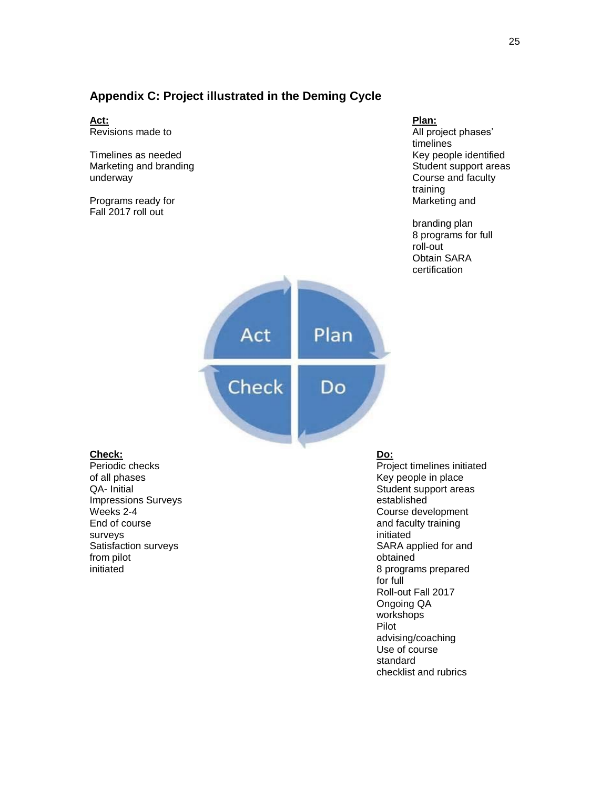#### **Appendix C: Project illustrated in the Deming Cycle**

**Act: Revisions** made to

Marketing and branding New Student support areas and brand support areas support areas and student support areas underway **Course and faculty** Course and faculty

Programs ready for the Marketing and Marketing and Marketing and Marketing and Marketing and Marketing and Marketing and Marketing and Marketing and Marketing and Marketing and Marketing and Marketing and Marketing and Mar Fall 2017 roll out

Plan:<br>All project phases' timelines Timelines as needed Key people identified training

> branding plan 8 programs for full roll-out Obtain SARA certification



**Check: Do:** of all phases **Key people in place** Key people in place Impressions Surveys **Example 2018** and the established End of course and faculty training surveys **initiated** from pilot **obtained** 

Project timelines initiated QA- Initial CA- Initial CA- Initial CA- Initial CA- Initial CA- Initial CA- Initial CA- Initial CA- Initial CA-Weeks 2-4 Course development Satisfaction surveys SARA applied for and initiated 8 programs prepared for full Roll-out Fall 2017 Ongoing QA workshops Pilot advising/coaching Use of course standard checklist and rubrics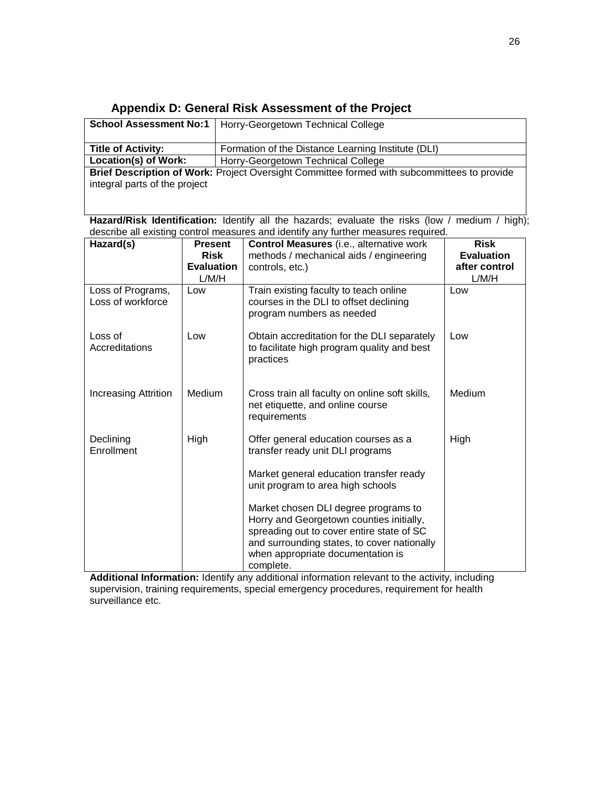#### **Appendix D: General Risk Assessment of the Project**

|                                                                                             | <b>School Assessment No:1</b>   Horry-Georgetown Technical College |  |
|---------------------------------------------------------------------------------------------|--------------------------------------------------------------------|--|
|                                                                                             |                                                                    |  |
| <b>Title of Activity:</b>                                                                   | Formation of the Distance Learning Institute (DLI)                 |  |
| Location(s) of Work:                                                                        | Horry-Georgetown Technical College                                 |  |
| Brief Description of Work: Project Oversight Committee formed with subcommittees to provide |                                                                    |  |
| integral parts of the project                                                               |                                                                    |  |

**Hazard/Risk Identification:** Identify all the hazards; evaluate the risks (low / medium / high); describe all existing control measures and identify any further measures required.

| Hazard(s)                              | <b>Present</b><br><b>Risk</b><br><b>Evaluation</b> | Control Measures (i.e., alternative work<br>methods / mechanical aids / engineering<br>controls, etc.)                                                                                                                         | <b>Risk</b><br><b>Evaluation</b><br>after control |
|----------------------------------------|----------------------------------------------------|--------------------------------------------------------------------------------------------------------------------------------------------------------------------------------------------------------------------------------|---------------------------------------------------|
| Loss of Programs,<br>Loss of workforce | L/M/H<br>Low                                       | Train existing faculty to teach online<br>courses in the DLI to offset declining<br>program numbers as needed                                                                                                                  | L/M/H<br>Low                                      |
| Loss of<br>Accreditations              | Low                                                | Obtain accreditation for the DLI separately<br>to facilitate high program quality and best<br>practices                                                                                                                        | Low                                               |
| <b>Increasing Attrition</b>            | Medium                                             | Cross train all faculty on online soft skills,<br>net etiquette, and online course<br>requirements                                                                                                                             | <b>Medium</b>                                     |
| Declining<br>Enrollment                | High                                               | Offer general education courses as a<br>transfer ready unit DLI programs                                                                                                                                                       | High                                              |
|                                        |                                                    | Market general education transfer ready<br>unit program to area high schools                                                                                                                                                   |                                                   |
|                                        |                                                    | Market chosen DLI degree programs to<br>Horry and Georgetown counties initially,<br>spreading out to cover entire state of SC<br>and surrounding states, to cover nationally<br>when appropriate documentation is<br>complete. |                                                   |

**Additional Information:** Identify any additional information relevant to the activity, including supervision, training requirements, special emergency procedures, requirement for health surveillance etc.